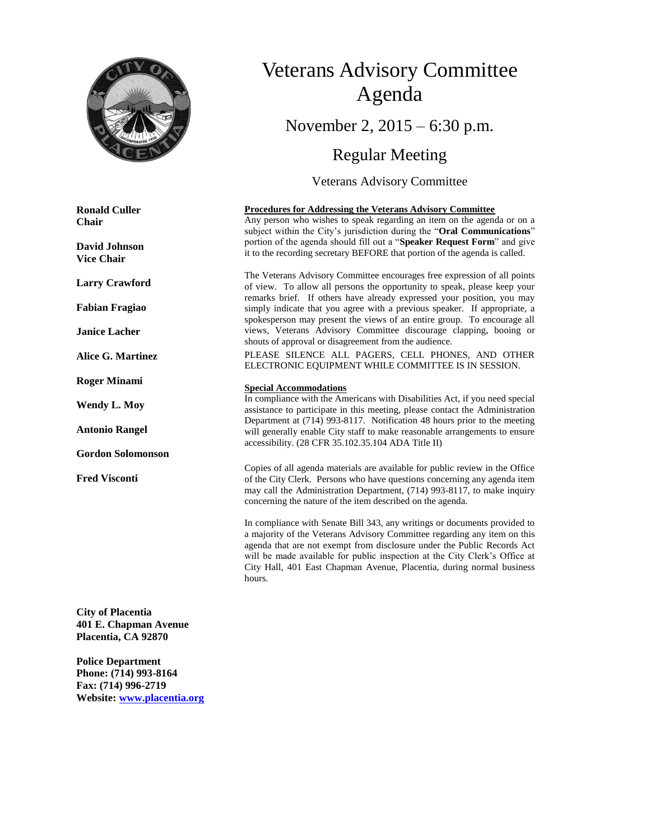

**Ronald Culler Chair**

**David Johnson Vice Chair**

**Larry Crawford**

**Fabian Fragiao**

**Janice Lacher**

**Alice G. Martinez**

**Roger Minami**

**Wendy L. Moy**

**Antonio Rangel**

**Gordon Solomonson**

**Fred Visconti**

**City of Placentia 401 E. Chapman Avenue Placentia, CA 92870**

**Police Department Phone: (714) 993-8164 Fax: (714) 996-2719 Website: [www.placentia.org](http://www.placentia.org/)**

# Veterans Advisory Committee Agenda November 2, 2015 – 6:30 p.m.

# Regular Meeting

Veterans Advisory Committee

#### **Procedures for Addressing the Veterans Advisory Committee**

Any person who wishes to speak regarding an item on the agenda or on a subject within the City's jurisdiction during the "**Oral Communications**" portion of the agenda should fill out a "**Speaker Request Form**" and give it to the recording secretary BEFORE that portion of the agenda is called.

The Veterans Advisory Committee encourages free expression of all points of view. To allow all persons the opportunity to speak, please keep your remarks brief. If others have already expressed your position, you may simply indicate that you agree with a previous speaker. If appropriate, a spokesperson may present the views of an entire group. To encourage all views, Veterans Advisory Committee discourage clapping, booing or shouts of approval or disagreement from the audience.

PLEASE SILENCE ALL PAGERS, CELL PHONES, AND OTHER ELECTRONIC EQUIPMENT WHILE COMMITTEE IS IN SESSION.

#### **Special Accommodations**

In compliance with the Americans with Disabilities Act, if you need special assistance to participate in this meeting, please contact the Administration Department at (714) 993-8117. Notification 48 hours prior to the meeting will generally enable City staff to make reasonable arrangements to ensure accessibility. (28 CFR 35.102.35.104 ADA Title II)

Copies of all agenda materials are available for public review in the Office of the City Clerk. Persons who have questions concerning any agenda item may call the Administration Department, (714) 993-8117, to make inquiry concerning the nature of the item described on the agenda.

In compliance with Senate Bill 343, any writings or documents provided to a majority of the Veterans Advisory Committee regarding any item on this agenda that are not exempt from disclosure under the Public Records Act will be made available for public inspection at the City Clerk's Office at City Hall, 401 East Chapman Avenue, Placentia, during normal business hours.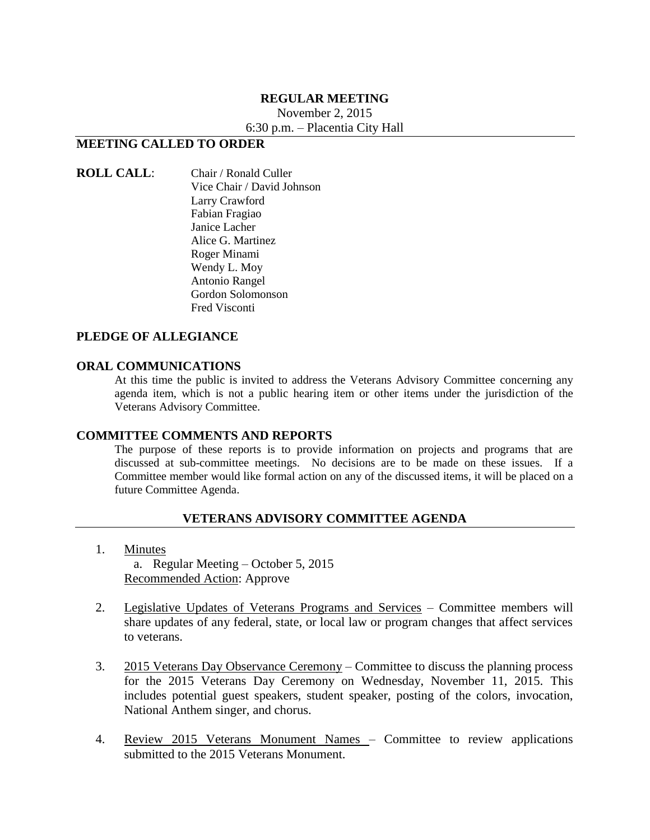#### **REGULAR MEETING**

November 2, 2015

6:30 p.m. – Placentia City Hall

### **MEETING CALLED TO ORDER**

#### **ROLL CALL**: Chair / Ronald Culler Vice Chair / David Johnson Larry Crawford Fabian Fragiao Janice Lacher Alice G. Martinez Roger Minami Wendy L. Moy Antonio Rangel Gordon Solomonson Fred Visconti

#### **PLEDGE OF ALLEGIANCE**

#### **ORAL COMMUNICATIONS**

At this time the public is invited to address the Veterans Advisory Committee concerning any agenda item, which is not a public hearing item or other items under the jurisdiction of the Veterans Advisory Committee.

#### **COMMITTEE COMMENTS AND REPORTS**

The purpose of these reports is to provide information on projects and programs that are discussed at sub-committee meetings. No decisions are to be made on these issues. If a Committee member would like formal action on any of the discussed items, it will be placed on a future Committee Agenda.

#### **VETERANS ADVISORY COMMITTEE AGENDA**

1. Minutes

a. Regular Meeting – October 5, 2015 Recommended Action: Approve

- 2. Legislative Updates of Veterans Programs and Services Committee members will share updates of any federal, state, or local law or program changes that affect services to veterans.
- 3. 2015 Veterans Day Observance Ceremony Committee to discuss the planning process for the 2015 Veterans Day Ceremony on Wednesday, November 11, 2015. This includes potential guest speakers, student speaker, posting of the colors, invocation, National Anthem singer, and chorus.
- 4. Review 2015 Veterans Monument Names Committee to review applications submitted to the 2015 Veterans Monument.